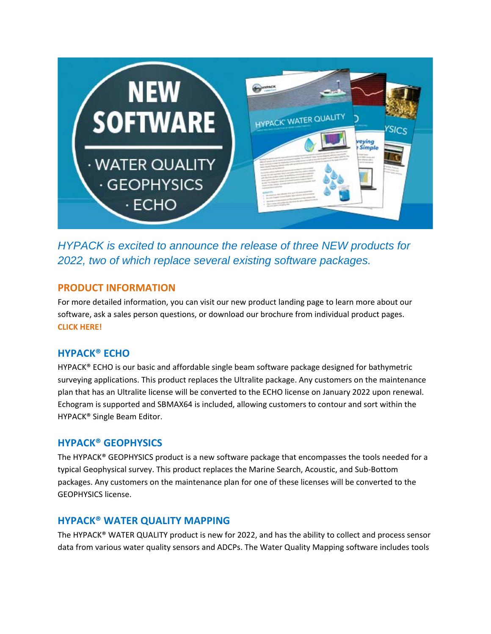

*HYPACK is excited to announce the release of three NEW products for 2022, two of which replace several existing software packages.*

## **PRODUCT INFORMATION**

For more detailed information, you can visit our new product landing page to learn more about our software, ask a sales person questions, or download our brochure from individual product pages. **CLICK [HERE!](https://info.xyleminc.com/AS-CMP-HYPACK-New-Products-2022_HYPACK-New-Products-2022-Landing-Page.html)**

## **HYPACK® ECHO**

HYPACK® ECHO is our basic and affordable single beam software package designed for bathymetric surveying applications. This product replaces the Ultralite package. Any customers on the maintenance plan that has an Ultralite license will be converted to the ECHO license on January 2022 upon renewal. Echogram is supported and SBMAX64 is included, allowing customers to contour and sort within the HYPACK® Single Beam Editor.

## **HYPACK® GEOPHYSICS**

The HYPACK® GEOPHYSICS product is a new software package that encompasses the tools needed for a typical Geophysical survey. This product replaces the Marine Search, Acoustic, and Sub-Bottom packages. Any customers on the maintenance plan for one of these licenses will be converted to the GEOPHYSICS license.

## **HYPACK® WATER QUALITY MAPPING**

The HYPACK® WATER QUALITY product is new for 2022, and has the ability to collect and process sensor data from various water quality sensors and ADCPs. The Water Quality Mapping software includes tools